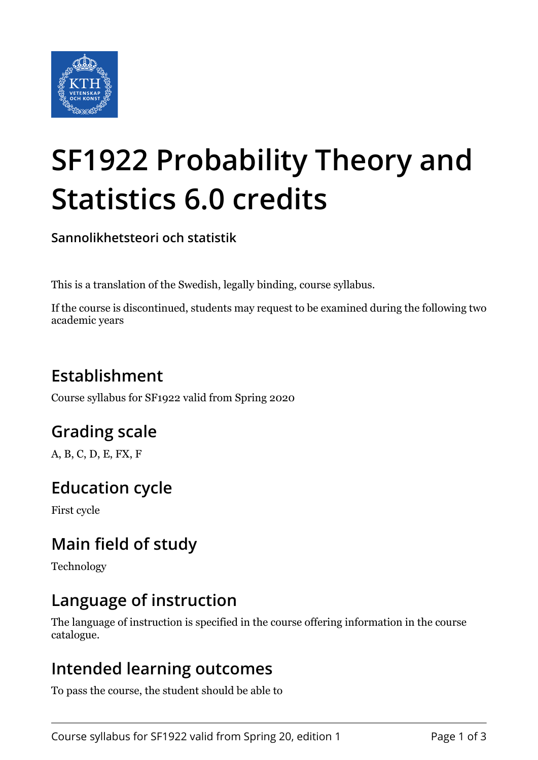

# **SF1922 Probability Theory and Statistics 6.0 credits**

**Sannolikhetsteori och statistik**

This is a translation of the Swedish, legally binding, course syllabus.

If the course is discontinued, students may request to be examined during the following two academic years

# **Establishment**

Course syllabus for SF1922 valid from Spring 2020

# **Grading scale**

A, B, C, D, E, FX, F

## **Education cycle**

First cycle

## **Main field of study**

Technology

### **Language of instruction**

The language of instruction is specified in the course offering information in the course catalogue.

#### **Intended learning outcomes**

To pass the course, the student should be able to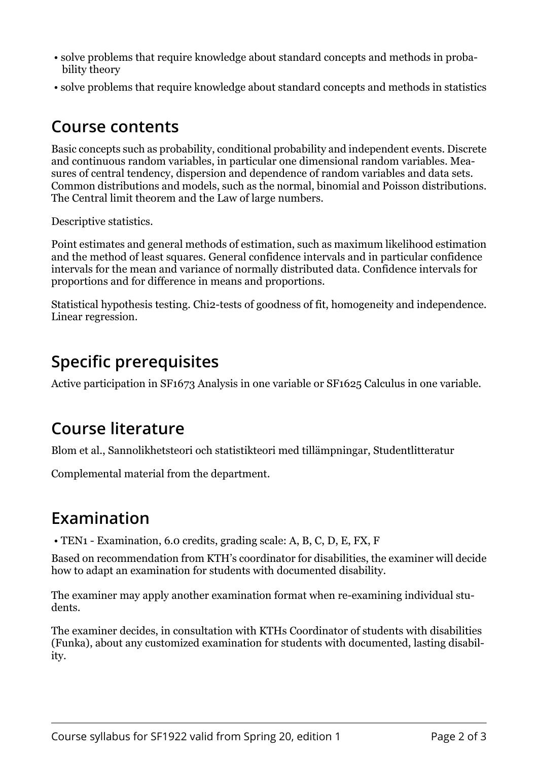- solve problems that require knowledge about standard concepts and methods in probability theory
- solve problems that require knowledge about standard concepts and methods in statistics

#### **Course contents**

Basic concepts such as probability, conditional probability and independent events. Discrete and continuous random variables, in particular one dimensional random variables. Measures of central tendency, dispersion and dependence of random variables and data sets. Common distributions and models, such as the normal, binomial and Poisson distributions. The Central limit theorem and the Law of large numbers.

Descriptive statistics.

Point estimates and general methods of estimation, such as maximum likelihood estimation and the method of least squares. General confidence intervals and in particular confidence intervals for the mean and variance of normally distributed data. Confidence intervals for proportions and for difference in means and proportions.

Statistical hypothesis testing. Chi2-tests of goodness of fit, homogeneity and independence. Linear regression.

#### **Specific prerequisites**

Active participation in SF1673 Analysis in one variable or SF1625 Calculus in one variable.

#### **Course literature**

Blom et al., Sannolikhetsteori och statistikteori med tillämpningar, Studentlitteratur

Complemental material from the department.

#### **Examination**

• TEN1 - Examination, 6.0 credits, grading scale: A, B, C, D, E, FX, F

Based on recommendation from KTH's coordinator for disabilities, the examiner will decide how to adapt an examination for students with documented disability.

The examiner may apply another examination format when re-examining individual students.

The examiner decides, in consultation with KTHs Coordinator of students with disabilities (Funka), about any customized examination for students with documented, lasting disability.